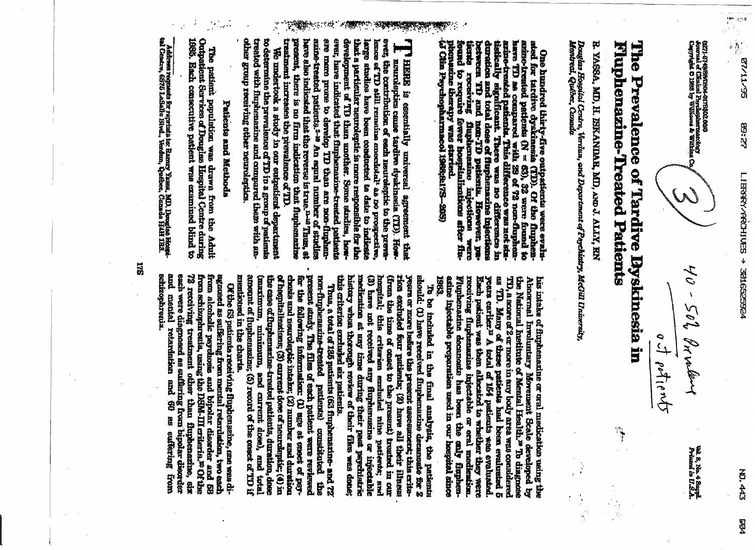**22:58** 

0271-9749/89/0304-037(2302-006)<br>Journal of Climical Proclassive<br>Capyright C 1388 by Williams & Wilkins C

40 - 502 Printery of potients

Wal 8, No. 4 Suppl<br>Primed in U.S.A.

Fluphenazine-Treated Patients The Prevalence of Tardive Dyskinesia in

小小小

 $\frac{1}{2}$ 

 $\frac{1}{2}$ 

R. YASSA, MD, H. ISKANDAR, MD, AND J. ALLY, RN

Douglas Hospital Cerdre, Verdun, and Deportment of Porchinty, McGill University,<br>Montreal, Québec, Canada

have TD as compared with 29 of 72 non-fluphent states of 72 non-fluphent states of 72 non-fluphent states of the example of the states of the states of the states of the states of the states of the states of the states of One hundred thirty-five outpattents were evaluated for tardive dyskinesia (TD). Of the fluphen-azine-free of the strain to

treatment increases the prevalence of TD ever, have indicated that finphensaine-treated patients have also indicated that the reverse is irue.<sup>n-16</sup> Thus, at azinë-ireated patients.2-<sup>19</sup> An espral numiter of stadies are mare prove to develop TD than are non-finghendevelopment of TD than another. Some stralies, howthat a particular neuroleptic is more responsible for the present, there is no firm indication that fluphenezine ever, the contribution of each neutoleptic to the prevalarge analies have been conducted to date to indicate lence of TD still remains anecdistal<sup>l</sup> as no prospective, Tu HERE is essentially universal agreement that I have the control of the control of the control of the control of the control of the control of the control of the control of the control of the control of the control of th

treated with fluphenazine and compared them with another group receiving other neuroleptics. to determine the prevalence of TD in a group of patients We undertook a study in our outpatient department

### Paikents and Methods

1880 Outputtent Services of Dongles Huspital Centre during The paikint population was drawn from the Adult Each consecutive patient was examined blind to

1982. asine injectable preparation used in our hospital since receiving fluphematics injectable or oral medication.<br>Fluphenatine decanoate has been the anly fluphenyears earlier.<sup>12</sup> A total of 154 pedients was evaluated.<br>Each patient was then altocated to whether they were TD, a score of 2 or more in any body area was considered as TD. Many of three patients had been evaluated 5 Lus intake of fluphenazine or oral medication using the Abusranal Involuntary Movement Scale developed by the National Institute of Mental Health." To diagnose

this criterion excluded six patients. history when thorough review of their files was done; medication at any time during their peat paychistric (i) have not received any flurhensmine or hijectable hospital; this criterien excluded nine patients; and rion excluded four putients; (2) here all their libress (from the time of onset to the present) treated in our years or more hefore the present assessments; this eritesitould: (1) have received flupbensizine decannate for 2 To be included in the final analysis, the patients

mentioned in the charts. amount of fluphenszine; (5) record of the onsert of TD if the case of fluphenszine-treated patients, duration, dose (maximum, minimum, snd current dose), and total of hospitalizations; (3) current dose of neurolentic; (4) in for the following information: (1) age at enset of psy-<br>chosis and nearoleptic intake; (2) number and duration present study. The files of each patient were reviewed nan-fluphenszíné-treated patients) constituted the Thus, a total of 135 patients (63 fluphenazine- and 72

esain were diagnosed as suffering from bipolar disorder from alcoholic psyckosis and bipolar disorder and 58 from schizophrenia, using the DSM-III criteria.<sup>20</sup> Of the from schizophrenia, using the DSM-III criteria.<sup>20</sup> Of the 12 receiving treatment other than flupbenezine, six and mental retardation and 60 as cufering from agnosed as suffering from mental retardation, two each **schizophrenia**. Of the 63 patients receiving fluphenszine, one was di-

Ackiross requests for reprints to: Rannry Yassa, MD, Douglas Hospi<br>tal Centre, 6375 LoSalls Blvd., Verdan, Québec, Canada HAH 1121.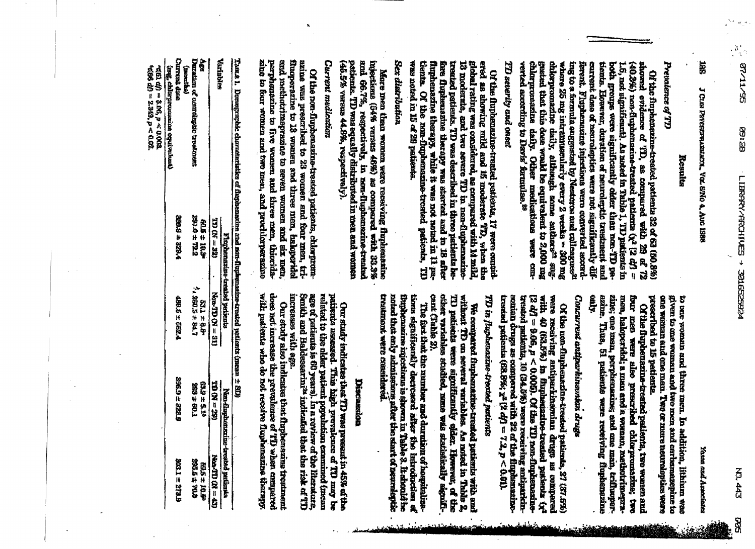**BR** 

**188** J CLIN PSYCHWARMANN, VOLEVIO 4, AND 1988

#### Results

### Prendence of TD

chlorpromazine daily, although some authors<sup>ta</sup> sugverted according to Davis' formulae.<sup>29</sup> chlarpromazine daily. Other medications were congested that this does wand be equivalent to 2,000 mg where 25 mg intramuscularly every 2 weeks = 300 mg ferent. Fluphenazine injertima were converted accura-<br>ing to a formula enggested by Nestonos and culteagues<sup>31</sup> curtent dose of neuroleptics were not significantly difboth greasps were significantly older than non-TD pa-1.6, nat significant). As noted in Table 1, TD patients in  $(40.3\%)$  non-fluphenazine-treated patients  $(\chi^2$  [2 cf] = showed evidence of 'ID, as compared with 29 of 72 tients. Elowever, duration of neuroleptic treatment and Of the fluphenazine-treated patients 32 of 63 (50.8%)

### TD severity and oned

global rating was considered, as compared with 14 mild, 13 moderate. tients. Of the non-flupbenazine-treated patients, ered as showing mild and ifs moderate TD, when the treated patients. TD was described in three patients bewas noted in 15 of 29 patients. fluphenazine therapy, while it was not noted in 11 pafore flupbenazine therapy was started and in 18 after Of the flupensatine-tranted patients, 17 were counted. Ë

### Sex diatribution

patients. TD was equally distributed in men and women (45.5% versus 44.8%, respectively). and 66.7%, respectively, in non-fluphenezine-treated injections (54% versus 46%) as compared with 35.3% More men then women were receiving fluphentatine

### Current medication

and methodrimaprazine to seven women and six men,<br>perphenatine to five women and three men, thioridafluoperazine to 13 women and three men, haloperidal zine to four women and two men, and prochlorperazine azine was prescribed to 23 women and four men, tri-Of the non-fluphenazine-treated patients, chlorprom-

> given to one woman and two men and carbamazepine to to one woman and three men. In addition, lithium was

Yasın and Armointes

preseribed to 15 patients. one woman and one men. Two or mare neuraleptics were Of the fluphenazine-treated patients, two women and

**Altro** zine; one man, perphenazine; and one man, trifluoper**azine.** four men were also prescribed chlorpromatine; two<br>men, haloperidel; a man and a woman, methoritine<br>pre-Thus, 51 patients were receiving fluphenezine

## Concurrent artiparkinsonna drugs

treated patients, 10 (34.5%) were receiving antiparkin-<br>souican drugs as compared with 22 of the fluphenseine-[2 df]  $\Rightarrow$  9.06,  $p < 0.005$ . Of the TD non-flupherozinewere receiving antiparkinomian drugs as compared with 40 (63.5%) in funherizatio-treated patients ty<sup>2</sup> treated patients (68.8%;  $x^2$  [2 df] = 7.2,  $p < 0.01$ ). Of the non-flupheneralne-treated patients, 27 (37.5%)

## TD in fluphenzizue-trented patients

cant (Table 2). cilier variables studied, nme was statistically agnifi-TI patients were significantly udden. However, of the We compared funder<br>azine-treated points and patients with and without  $\Omega$  <br>on several variables. As moted in Table 2,

tions significantly decreased after the introduction of trappenazine injections is shown in Table 3. It should be treatment were considered. noted that anly admissions after the start of neural title The fast that the number and duration of hospitaliza-

#### Discussion

putients assessed. This high prevalence of ID may be increases with age. age of patients is 60 years). In a review of the literature,<br>Smith and Baldessarini<sup>24</sup> indicated that the risk of TD related to the older patient population examined (mean Our study indicates that TD was present in 45% of the

does not increase the prevalence of TD when campared with patients who do not receive fluplanazine therapy Our study also indicates that flupbensame treatment

Tasse 1. Demographic characteristics of dupbenscine and non-duplemanine-treated patients (mean  $\pm$  SI)

|                                           |                      | phenazine-treated pariscata |                    | montazine-treated pathent               |
|-------------------------------------------|----------------------|-----------------------------|--------------------|-----------------------------------------|
| <b>Variabies</b>                          | $170 \text{ cm}$     | <b>Resp. 18</b>             | <b>121 = 291</b>   | <b>Cost = NO CLI-VAN</b>                |
| ege<br>B                                  | 227 Tole<br>401 Tole | $1767 + 1095$ $1/2$         | 626454             | 的复数地位                                   |
| <b>Duration</b> of centraleptic treatment |                      |                             | T19 F 555          | 2054 ± 20.0                             |
| <b>Chryside drive</b><br>(extensity)      | 2005 ± 229.4         | <b>489.5 ± 5.821.4</b>      | <b>GECC + GYGS</b> | <b><i><u><b>ASIS = LEKS</b></u></i></b> |
| Imag, chiliar promussion equivalensi.     |                      |                             |                    |                                         |
|                                           |                      |                             |                    |                                         |

 $\begin{array}{l} \mbox{if $\mathcal{C}(t)=0.003$}\\ \mbox{if $\mathcal{C}(t)=0.02$, $t>0.02$,} \end{array}$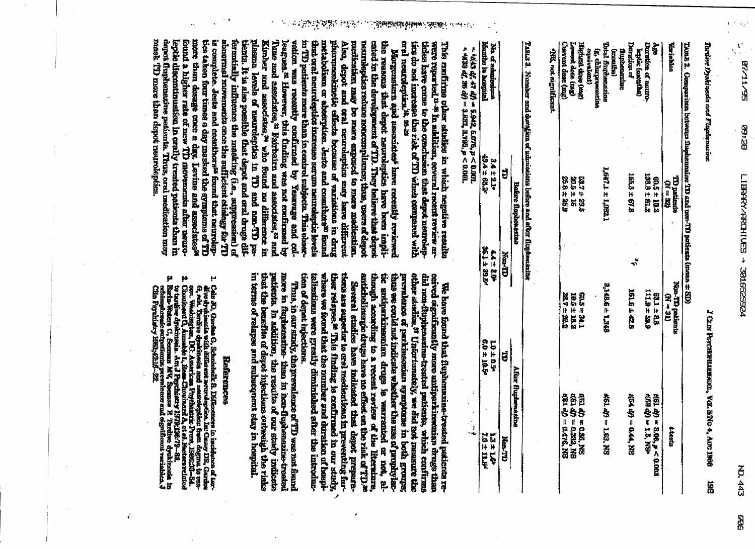$\mathcal{G}_{\lambda_{\infty}}^{(1)}$ 

## **Tardive Dyskinesia und Flagstenazine**

### J CLIN PSYCHERMARKAGE, VGI. NNO 4, AIG 1986 ä

TABLE 2. Georgeariens between franconzaine TD and non-TD prices it (mean  $\pm$  SD)

| <b>Reariable</b>                                       | <b>UD patient</b><br>$(X = M)$  |              | $\frac{\overline{X}(\overline{K} \times \overline{N})}{\overline{X}(\overline{K} \times \overline{N})}$ where $\overline{X}$ | <b>Literiz</b>                                                  |
|--------------------------------------------------------|---------------------------------|--------------|------------------------------------------------------------------------------------------------------------------------------|-----------------------------------------------------------------|
| နဲ့                                                    |                                 |              | 521±8.8<br>11.9±5.89                                                                                                         |                                                                 |
| <b>Outsides of neuro-</b>                              | $60.5 \pm 10.2$<br>138.9 ± 81.2 |              |                                                                                                                              | 1651 ወታ - 3.06, p < 0.013<br>469 ወታ - 1.6, Nev                  |
| Duration ef<br>septic (months)                         | 1653 ± 6781                     | $\mathbf{r}$ | 1615 ± 228                                                                                                                   | #54 dp = 0.44, NS                                               |
| fluphenenine<br>(months)                               |                                 |              |                                                                                                                              |                                                                 |
| Total flurmaning<br>G. chluquement<br><b>Education</b> | 1,647.1 ± 1,062.1               |              | <b>SAR.E ± B.BAS</b>                                                                                                         | <b>461 dp = 163, NS</b>                                         |
| <b>Eligitist dose (mg)</b>                             |                                 |              |                                                                                                                              |                                                                 |
|                                                        | <b>227±225</b><br>205±16        |              | 605±34.1<br>195±18.2<br>28,7±22.2                                                                                            |                                                                 |
| Lowest dose (nag)<br>Current dose (mg)                 | 25.8 ± 85.9                     |              |                                                                                                                              | 460 40 = 0.221, NS<br>460 40 = 0.2212, NS<br>460 40 = 0.474, NS |
|                                                        |                                 |              |                                                                                                                              |                                                                 |

WS, not significant

TABLE 3. Number and durigion of admissions before and efter flupburszine

|                                                                                                                                                                                                                                | <b>The finances of the State</b> |               | After flupbenating |                 |
|--------------------------------------------------------------------------------------------------------------------------------------------------------------------------------------------------------------------------------|----------------------------------|---------------|--------------------|-----------------|
|                                                                                                                                                                                                                                |                                  | <b>Hun-TD</b> |                    | Ner-TD          |
| No. of sidentications                                                                                                                                                                                                          |                                  | 402777        | 40±04              | <b>ADI #EI</b>  |
| Montry at actinal                                                                                                                                                                                                              | 134±231+                         | 经日本行政         | <b>09150g</b>      | <b>FAILT-07</b> |
| $\sim$ 60 de 10 de 10 de 10 de 10 de 10 de 10 de 10 de 10 de 10 de 10 de 10 de 10 de 10 de 10 de 10 de 10 de 10 de 10 de 10 de 10 de 10 de 10 de 10 de 10 de 10 de 10 de 10 de 10 de 10 de 10 de 10 de 10 de 10 de 10 de 10 de |                                  |               |                    | 医子宫下的 医腹膜       |

 $\sim 4000 \times 1000 \times 1000 \times 1000 \times 1000 \times 1000 \times 1000 \times 1000 \times 1000 \times 1000 \times 1000 \times 1000 \times 1000 \times 1000 \times 1000 \times 1000 \times 1000 \times 1000 \times 1000 \times 1000 \times 1000 \times 1000 \times 1000 \times 1000 \times 1000 \times 1000 \times 1000 \times 1000 \times 1000 \times 1000 \times 1000 \times$ 

oral neuroleptics.<sup>18</sup>, as as were reported <sup>11-8</sup> In addition, ecvered recent re-riew ar-This confirms other studies in which negative results tics do not increase the risk of TD when compared with ticles have came to the conduction that depot neurolep-

mask TD more than depot meanweptics. depot fluphenexine petients. Thus, oral medication may leptic discontinuation in crally treated parlents than in found a higher rate of new TD movements after neuromore than dosage once a day. Leviue and associates<sup>ss</sup> is complete. Jeste and continuous<sup>55</sup> found that neuroleptics to the state of TD abnormal movements once the sufficient ethilogy for TD ferentially influence the masking (i.e., suppression) of tients. It is also possible that depot and oral drugs difpleams levels of neuroleptins in TD and non-TD pa-Kimber and associates,<sup>34</sup> who found no difference in Tune and associates, a Fairbairn and associates, a and vation was recently confirmed by Yesnesge and colin TD patients more than in control subjects. This obsex-Also, depot and oral neurolaptics may have different<br>pharmaxokinetic effects because of variations in drug leagues.<sup>n</sup> However, this finding was not confirmed by that oral neurolegitos increase serum neuroleptic iseels metabulism or sheerphinn. Jeste and cosmitints<sup>30</sup> found pucification, may be mare exposed to mare medication. neuraleptics reduce noncomplismes; thus, users of depot cated in the development of TD. They helieve that depot the reasons that depot neuroleptics have been impli-Navigensiern and assemines<sup>s</sup> have recently reviewed

*दीर्ममा कुल्ला* कुल

 $\mathcal{A}_\mathcal{A}$ 

**SURFACTA PROP** 

anticholinergic drugs have no effect on the risk of TD, w though according to a recent review of the literature, tic antiparkineonian drugs is warranted or not, alother studies.<sup>37</sup> Unfortunately, we did not measure the thus we could not indicate whether the use of prophylacprevalence of parkineonian symptoms in both groups; did nun-fluphenarine-treated patiente, which confirms ceived significantly more antiperkinsonian drugs than We have found that fluphenazine-treated patients re-

tions are superior to orel medications in preventing furtion of depot injections. ther relapse.<sup>8</sup> This finding to confirmed in our study, talizations were greatly diminished after the introducwhere we found that the number and duration of baspi-Several studies have indicated that depot prepare-J,

putients. In suddition, the results of our study indicate more in flupbenezine-then in hear-fupbenezine-treated in terms of relapse and subsequent stay in hospital. that the benefite of depot injections outweigh the riste Thus, in our study, the prevalence of TD was mot found

#### **References**

. Cola 30, Gardan G, Schmichalk S. Differences in incidence of Large of the discrete of the street of the street of the street of the street of the street of the street of the street of the street of the street of particu

٣

- $\mathbf{N}$
- μ sstrimparsistic outputscutor premier<br>Cilin Payehistry 1981;42:16–22.

ť